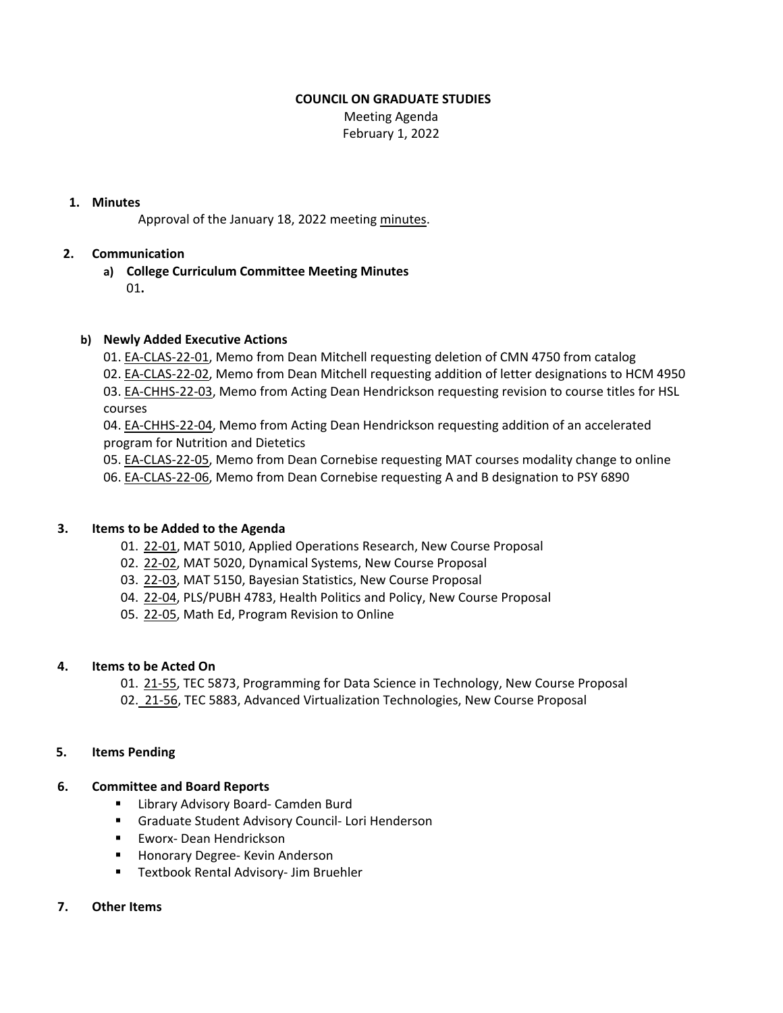# **COUNCIL ON GRADUATE STUDIES**

Meeting Agenda February 1, 2022

# **1. Minutes**

Approval of the January 18, 2022 meeting [minutes.](https://castle.eiu.edu/~eiucgs/currentminutes/Minutes1-18-22.pdf)

# **2. Communication**

**a) College Curriculum Committee Meeting Minutes** 01**.**

### **b) Newly Added Executive Actions**

01. EA‐[CLAS](https://castle.eiu.edu/eiucgs/exec-actions/EA-CLAS-22-01.pdf)‐22‐01, Memo from Dean Mitchell requesting deletion of CMN 4750 from catalog 02. EA‐[CLAS](https://castle.eiu.edu/eiucgs/exec-actions/EA-CLAS-22-02.pdf)‐22‐02, Memo from Dean Mitchell requesting addition of letter designations to HCM 4950 03. EA-[CHHS](https://castle.eiu.edu/eiucgs/exec-actions/EA-CHHS-22-03.pdf)-22-03, Memo from Acting Dean Hendrickson requesting revision to course titles for HSL courses

04. EA‐[CHHS](https://castle.eiu.edu/eiucgs/exec-actions/EA-CHHS-22-04.pdf)‐22‐04, Memo from Acting Dean Hendrickson requesting addition of an accelerated program for Nutrition and Dietetics

05. EA‐[CLAS](https://castle.eiu.edu/eiucgs/exec-actions/EA-CLAS-22-05.pdf)‐22‐05, Memo from Dean Cornebise requesting MAT courses modality change to online 06. EA‐[CLAS](https://castle.eiu.edu/eiucgs/exec-actions/EA-CLAS-22-06.pdf)‐22‐06, Memo from Dean Cornebise requesting A and B designation to PSY 6890

#### **3. Items to be Added to the Agenda**

- 01. [22](https://castle.eiu.edu/eiucgs/currentagendaitems/agenda22-01.pdf)‐01, MAT 5010, Applied Operations Research, New Course Proposal
- 02. 22-[02,](https://castle.eiu.edu/eiucgs/currentagendaitems/agenda22-02.pdf) MAT 5020, Dynamical Systems, New Course Proposal
- 03. 22‐[03,](https://castle.eiu.edu/eiucgs/currentagendaitems/agenda22-03.pdf) MAT 5150, Bayesian Statistics, New Course Proposal
- 04. 22-[04,](https://castle.eiu.edu/eiucgs/currentagendaitems/agenda22-04.pdf) PLS/PUBH 4783, Health Politics and Policy, New Course Proposal
- 05. 22‐[05,](https://castle.eiu.edu/eiucgs/currentagendaitems/agenda22-05.pdf) Math Ed, Program Revision to Online

#### **4. Items to be Acted On**

01. 21‐[55,](https://castle.eiu.edu/eiucgs/currentagendaitems/agenda21-55.pdf) TEC 5873, Programming for Data Science in Technology, New Course Proposal

02. [21](https://castle.eiu.edu/eiucgs/currentagendaitems/agenda21-56.pdf)-56, TEC 5883, Advanced Virtualization Technologies, New Course Proposal

#### **5. Items Pending**

#### **6. Committee and Board Reports**

- Library Advisory Board- Camden Burd
- Graduate Student Advisory Council- Lori Henderson
- Eworx-Dean Hendrickson
- Honorary Degree- Kevin Anderson
- Textbook Rental Advisory- Jim Bruehler

# **7. Other Items**